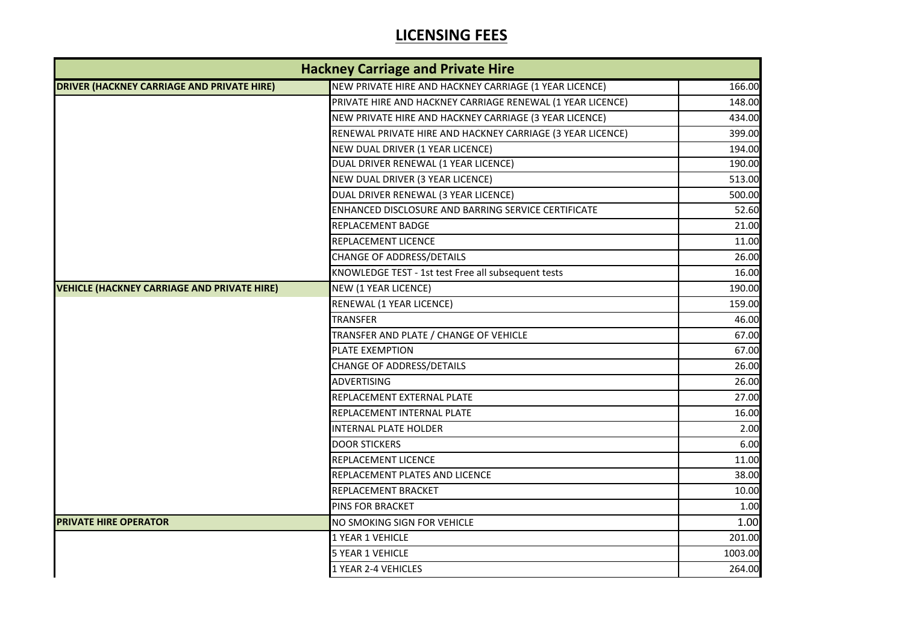| <b>Hackney Carriage and Private Hire</b>           |                                                            |         |
|----------------------------------------------------|------------------------------------------------------------|---------|
| <b>DRIVER (HACKNEY CARRIAGE AND PRIVATE HIRE)</b>  | NEW PRIVATE HIRE AND HACKNEY CARRIAGE (1 YEAR LICENCE)     | 166.00  |
|                                                    | PRIVATE HIRE AND HACKNEY CARRIAGE RENEWAL (1 YEAR LICENCE) | 148.00  |
|                                                    | NEW PRIVATE HIRE AND HACKNEY CARRIAGE (3 YEAR LICENCE)     | 434.00  |
|                                                    | RENEWAL PRIVATE HIRE AND HACKNEY CARRIAGE (3 YEAR LICENCE) | 399.00  |
|                                                    | NEW DUAL DRIVER (1 YEAR LICENCE)                           | 194.00  |
|                                                    | DUAL DRIVER RENEWAL (1 YEAR LICENCE)                       | 190.00  |
|                                                    | NEW DUAL DRIVER (3 YEAR LICENCE)                           | 513.00  |
|                                                    | DUAL DRIVER RENEWAL (3 YEAR LICENCE)                       | 500.00  |
|                                                    | ENHANCED DISCLOSURE AND BARRING SERVICE CERTIFICATE        | 52.60   |
|                                                    | REPLACEMENT BADGE                                          | 21.00   |
|                                                    | <b>REPLACEMENT LICENCE</b>                                 | 11.00   |
|                                                    | <b>CHANGE OF ADDRESS/DETAILS</b>                           | 26.00   |
|                                                    | KNOWLEDGE TEST - 1st test Free all subsequent tests        | 16.00   |
| <b>VEHICLE (HACKNEY CARRIAGE AND PRIVATE HIRE)</b> | NEW (1 YEAR LICENCE)                                       | 190.00  |
|                                                    | RENEWAL (1 YEAR LICENCE)                                   | 159.00  |
|                                                    | <b>TRANSFER</b>                                            | 46.00   |
|                                                    | TRANSFER AND PLATE / CHANGE OF VEHICLE                     | 67.00   |
|                                                    | PLATE EXEMPTION                                            | 67.00   |
|                                                    | <b>CHANGE OF ADDRESS/DETAILS</b>                           | 26.00   |
|                                                    | <b>ADVERTISING</b>                                         | 26.00   |
|                                                    | REPLACEMENT EXTERNAL PLATE                                 | 27.00   |
|                                                    | REPLACEMENT INTERNAL PLATE                                 | 16.00   |
|                                                    | <b>INTERNAL PLATE HOLDER</b>                               | 2.00    |
|                                                    | <b>DOOR STICKERS</b>                                       | 6.00    |
|                                                    | REPLACEMENT LICENCE                                        | 11.00   |
|                                                    | REPLACEMENT PLATES AND LICENCE                             | 38.00   |
|                                                    | REPLACEMENT BRACKET                                        | 10.00   |
|                                                    | <b>PINS FOR BRACKET</b>                                    | 1.00    |
| <b>PRIVATE HIRE OPERATOR</b>                       | NO SMOKING SIGN FOR VEHICLE                                | 1.00    |
|                                                    | <b>1 YEAR 1 VEHICLE</b>                                    | 201.00  |
|                                                    | <b>5 YEAR 1 VEHICLE</b>                                    | 1003.00 |
|                                                    | 1 YEAR 2-4 VEHICLES                                        | 264.00  |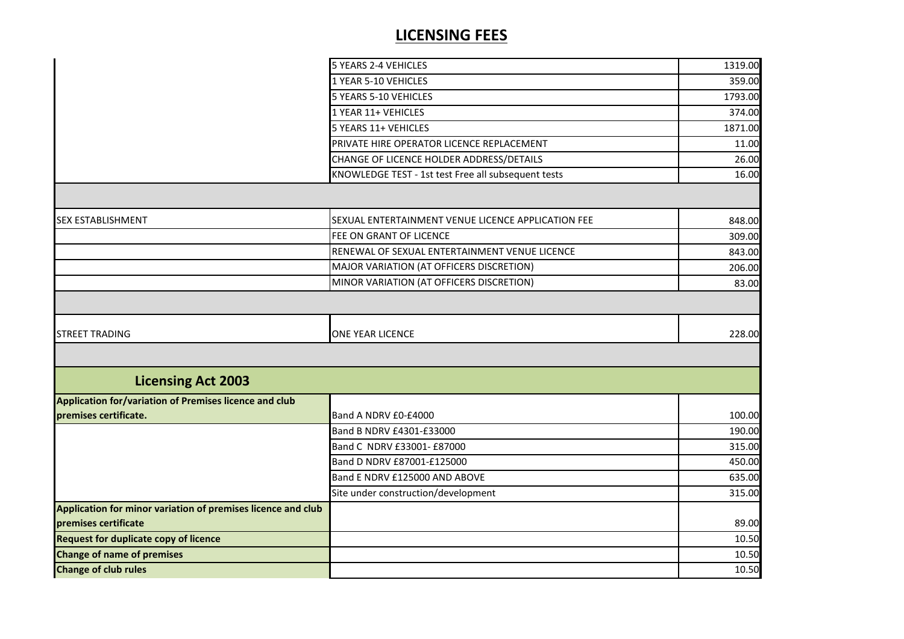|                                                              | 5 YEARS 2-4 VEHICLES                                | 1319.00 |
|--------------------------------------------------------------|-----------------------------------------------------|---------|
|                                                              | 1 YEAR 5-10 VEHICLES                                | 359.00  |
|                                                              | 5 YEARS 5-10 VEHICLES                               | 1793.00 |
|                                                              | 1 YEAR 11+ VEHICLES                                 | 374.00  |
|                                                              | 5 YEARS 11+ VEHICLES                                | 1871.00 |
|                                                              | PRIVATE HIRE OPERATOR LICENCE REPLACEMENT           | 11.00   |
|                                                              | CHANGE OF LICENCE HOLDER ADDRESS/DETAILS            | 26.00   |
|                                                              | KNOWLEDGE TEST - 1st test Free all subsequent tests | 16.00   |
|                                                              |                                                     |         |
| <b>SEX ESTABLISHMENT</b>                                     | SEXUAL ENTERTAINMENT VENUE LICENCE APPLICATION FEE  | 848.00  |
|                                                              | FEE ON GRANT OF LICENCE                             | 309.00  |
|                                                              | RENEWAL OF SEXUAL ENTERTAINMENT VENUE LICENCE       | 843.00  |
|                                                              | MAJOR VARIATION (AT OFFICERS DISCRETION)            | 206.00  |
|                                                              | MINOR VARIATION (AT OFFICERS DISCRETION)            | 83.00   |
|                                                              |                                                     |         |
| <b>STREET TRADING</b>                                        | ONE YEAR LICENCE                                    | 228.00  |
|                                                              |                                                     |         |
| <b>Licensing Act 2003</b>                                    |                                                     |         |
| Application for/variation of Premises licence and club       |                                                     |         |
| premises certificate.                                        | Band A NDRV £0-£4000                                | 100.00  |
|                                                              | Band B NDRV £4301-£33000                            | 190.00  |
|                                                              | Band C NDRV £33001- £87000                          | 315.00  |
|                                                              | Band D NDRV £87001-£125000                          | 450.00  |
|                                                              | Band E NDRV £125000 AND ABOVE                       | 635.00  |
|                                                              | Site under construction/development                 | 315.00  |
| Application for minor variation of premises licence and club |                                                     |         |
| premises certificate                                         |                                                     | 89.00   |
| <b>Request for duplicate copy of licence</b>                 |                                                     | 10.50   |
| <b>Change of name of premises</b>                            |                                                     | 10.50   |
| <b>Change of club rules</b>                                  |                                                     | 10.50   |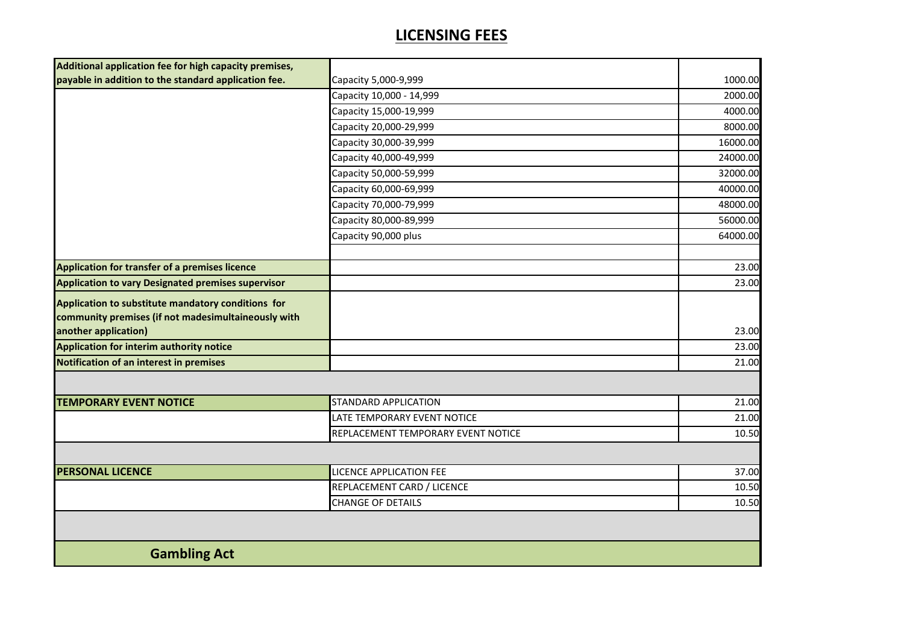| Additional application fee for high capacity premises,    |                                    |          |
|-----------------------------------------------------------|------------------------------------|----------|
| payable in addition to the standard application fee.      | Capacity 5,000-9,999               | 1000.00  |
|                                                           | Capacity 10,000 - 14,999           | 2000.00  |
|                                                           | Capacity 15,000-19,999             | 4000.00  |
|                                                           | Capacity 20,000-29,999             | 8000.00  |
|                                                           | Capacity 30,000-39,999             | 16000.00 |
|                                                           | Capacity 40,000-49,999             | 24000.00 |
|                                                           | Capacity 50,000-59,999             | 32000.00 |
|                                                           | Capacity 60,000-69,999             | 40000.00 |
|                                                           | Capacity 70,000-79,999             | 48000.00 |
|                                                           | Capacity 80,000-89,999             | 56000.00 |
|                                                           | Capacity 90,000 plus               | 64000.00 |
|                                                           |                                    |          |
| Application for transfer of a premises licence            |                                    | 23.00    |
| <b>Application to vary Designated premises supervisor</b> |                                    | 23.00    |
| Application to substitute mandatory conditions for        |                                    |          |
| community premises (if not madesimultaineously with       |                                    |          |
| another application)                                      |                                    | 23.00    |
| <b>Application for interim authority notice</b>           |                                    | 23.00    |
| Notification of an interest in premises                   |                                    | 21.00    |
|                                                           |                                    |          |
| <b>TEMPORARY EVENT NOTICE</b>                             | <b>STANDARD APPLICATION</b>        | 21.00    |
|                                                           | LATE TEMPORARY EVENT NOTICE        | 21.00    |
|                                                           | REPLACEMENT TEMPORARY EVENT NOTICE | 10.50    |
|                                                           |                                    |          |
| <b>PERSONAL LICENCE</b>                                   | LICENCE APPLICATION FEE            | 37.00    |
|                                                           | REPLACEMENT CARD / LICENCE         | 10.50    |
|                                                           | <b>CHANGE OF DETAILS</b>           | 10.50    |
|                                                           |                                    |          |
| <b>Gambling Act</b>                                       |                                    |          |
|                                                           |                                    |          |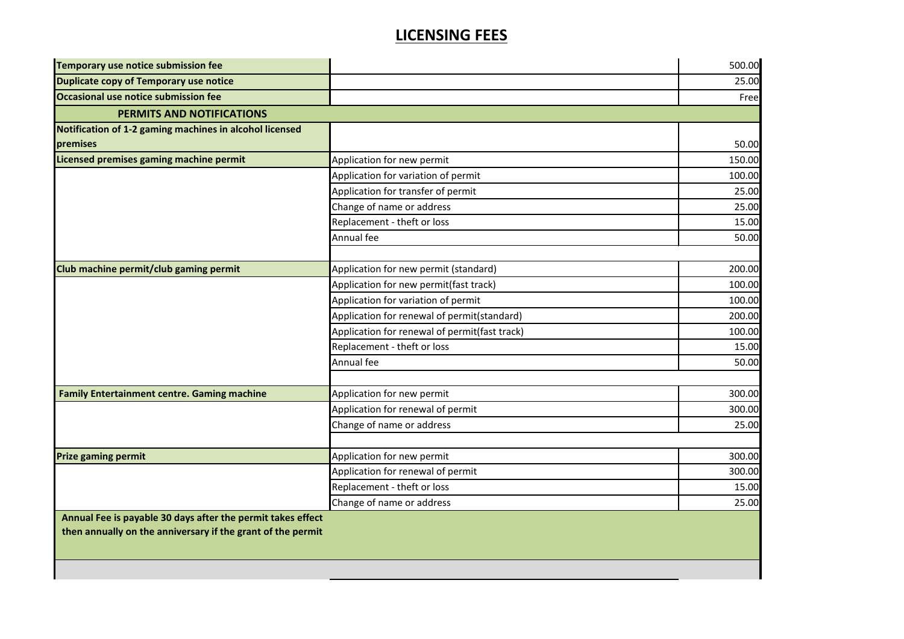| Temporary use notice submission fee                                                                                        |                                               | 500.00 |
|----------------------------------------------------------------------------------------------------------------------------|-----------------------------------------------|--------|
| Duplicate copy of Temporary use notice                                                                                     |                                               | 25.00  |
| Occasional use notice submission fee                                                                                       |                                               | Free   |
| PERMITS AND NOTIFICATIONS                                                                                                  |                                               |        |
| Notification of 1-2 gaming machines in alcohol licensed                                                                    |                                               |        |
| premises                                                                                                                   |                                               | 50.00  |
| Licensed premises gaming machine permit                                                                                    | Application for new permit                    | 150.00 |
|                                                                                                                            | Application for variation of permit           | 100.00 |
|                                                                                                                            | Application for transfer of permit            | 25.00  |
|                                                                                                                            | Change of name or address                     | 25.00  |
|                                                                                                                            | Replacement - theft or loss                   | 15.00  |
|                                                                                                                            | Annual fee                                    | 50.00  |
|                                                                                                                            |                                               |        |
| Club machine permit/club gaming permit                                                                                     | Application for new permit (standard)         | 200.00 |
|                                                                                                                            | Application for new permit(fast track)        | 100.00 |
|                                                                                                                            | Application for variation of permit           | 100.00 |
|                                                                                                                            | Application for renewal of permit(standard)   | 200.00 |
|                                                                                                                            | Application for renewal of permit(fast track) | 100.00 |
|                                                                                                                            | Replacement - theft or loss                   | 15.00  |
|                                                                                                                            | Annual fee                                    | 50.00  |
|                                                                                                                            |                                               |        |
| <b>Family Entertainment centre. Gaming machine</b>                                                                         | Application for new permit                    | 300.00 |
|                                                                                                                            | Application for renewal of permit             | 300.00 |
|                                                                                                                            | Change of name or address                     | 25.00  |
|                                                                                                                            |                                               |        |
| <b>Prize gaming permit</b>                                                                                                 | Application for new permit                    | 300.00 |
|                                                                                                                            | Application for renewal of permit             | 300.00 |
|                                                                                                                            | Replacement - theft or loss                   | 15.00  |
|                                                                                                                            | Change of name or address                     | 25.00  |
| Annual Fee is payable 30 days after the permit takes effect<br>then annually on the anniversary if the grant of the permit |                                               |        |
|                                                                                                                            |                                               |        |
|                                                                                                                            |                                               |        |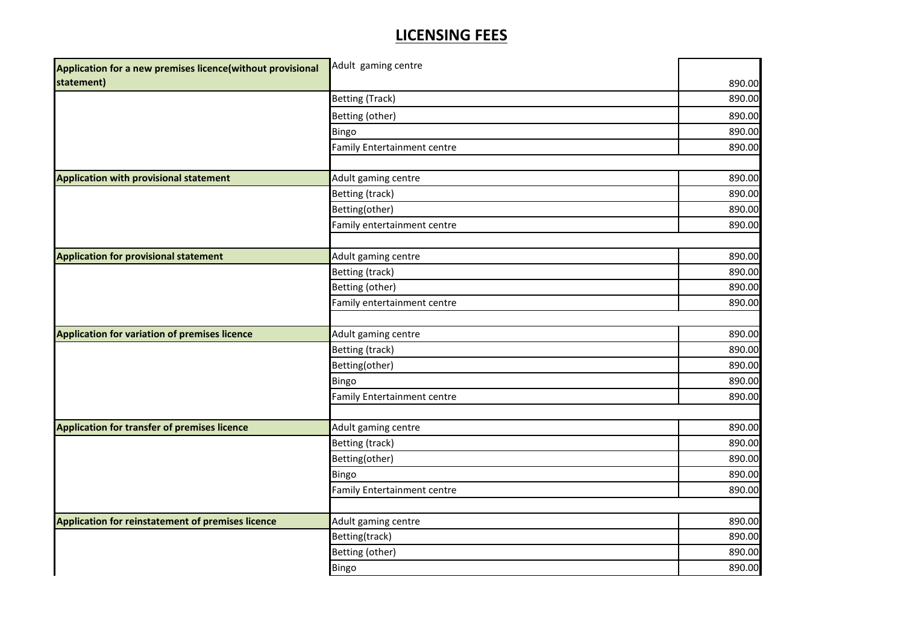| Application for a new premises licence(without provisional | Adult gaming centre                |        |
|------------------------------------------------------------|------------------------------------|--------|
| statement)                                                 |                                    | 890.00 |
|                                                            | <b>Betting (Track)</b>             | 890.00 |
|                                                            | Betting (other)                    | 890.00 |
|                                                            | Bingo                              | 890.00 |
|                                                            | Family Entertainment centre        | 890.00 |
|                                                            |                                    |        |
| Application with provisional statement                     | Adult gaming centre                | 890.00 |
|                                                            | <b>Betting (track)</b>             | 890.00 |
|                                                            | Betting(other)                     | 890.00 |
|                                                            | Family entertainment centre        | 890.00 |
|                                                            |                                    |        |
| <b>Application for provisional statement</b>               | Adult gaming centre                | 890.00 |
|                                                            | Betting (track)                    | 890.00 |
|                                                            | Betting (other)                    | 890.00 |
|                                                            | Family entertainment centre        | 890.00 |
| <b>Application for variation of premises licence</b>       | Adult gaming centre                | 890.00 |
|                                                            | Betting (track)                    | 890.00 |
|                                                            | Betting(other)                     | 890.00 |
|                                                            | Bingo                              | 890.00 |
|                                                            | <b>Family Entertainment centre</b> | 890.00 |
|                                                            |                                    |        |
| Application for transfer of premises licence               | Adult gaming centre                | 890.00 |
|                                                            | Betting (track)                    | 890.00 |
|                                                            | Betting(other)                     | 890.00 |
|                                                            | Bingo                              | 890.00 |
|                                                            | Family Entertainment centre        | 890.00 |
|                                                            |                                    |        |
| Application for reinstatement of premises licence          | Adult gaming centre                | 890.00 |
|                                                            | Betting(track)                     | 890.00 |
|                                                            | Betting (other)                    | 890.00 |
|                                                            | Bingo                              | 890.00 |